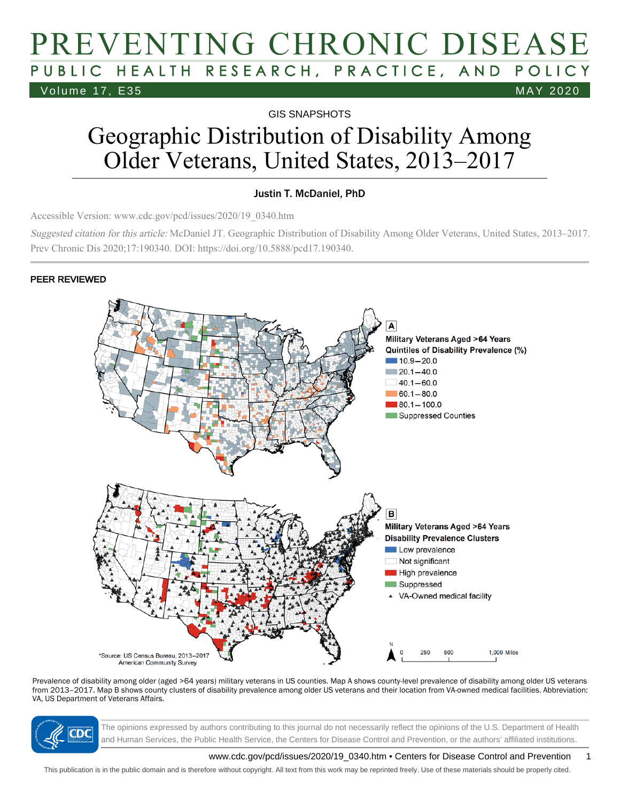# PREVENTING CHRONIC DISEASE PUBLIC HEALTH RESEARCH, PRACTICE, AND POLICY Volume 17, E35 MAY 2020

GIS SNAPSHOTS

# Geographic Distribution of Disability Among Older Veterans, United States, 2013–2017

#### Justin T. McDaniel, PhD

Accessible Version: www.cdc.gov/pcd/issues/2020/19\_0340.htm

Suggested citation for this article: McDaniel JT. Geographic Distribution of Disability Among Older Veterans, United States, 2013–2017. Prev Chronic Dis 2020;17:190340. DOI: https://doi.org/10.5888/pcd17.190340.

#### PEER REVIEWED



Prevalence of disability among older (aged >64 years) military veterans in US counties. Map A shows county-level prevalence of disability among older US veterans from 2013–2017. Map B shows county clusters of disability prevalence among older US veterans and their location from VA-owned medical facilities. Abbreviation: VA, US Department of Veterans Affairs.



The opinions expressed by authors contributing to this journal do not necessarily reflect the opinions of the U.S. Department of Health and Human Services, the Public Health Service, the Centers for Disease Control and Prevention, or the authors' affiliated institutions.

www.cdc.gov/pcd/issues/2020/19\_0340.htm • Centers for Disease Control and Prevention 1

This publication is in the public domain and is therefore without copyright. All text from this work may be reprinted freely. Use of these materials should be properly cited.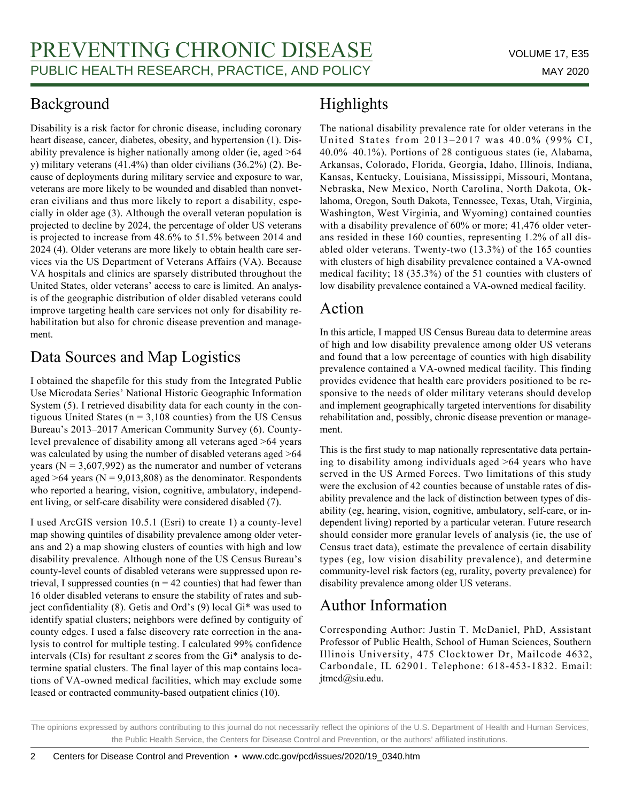#### Background

Disability is a risk factor for chronic disease, including coronary heart disease, cancer, diabetes, obesity, and hypertension (1). Disability prevalence is higher nationally among older (ie, aged >64 y) military veterans (41.4%) than older civilians (36.2%) (2). Because of deployments during military service and exposure to war, veterans are more likely to be wounded and disabled than nonveteran civilians and thus more likely to report a disability, especially in older age (3). Although the overall veteran population is projected to decline by 2024, the percentage of older US veterans is projected to increase from 48.6% to 51.5% between 2014 and 2024 (4). Older veterans are more likely to obtain health care services via the US Department of Veterans Affairs (VA). Because VA hospitals and clinics are sparsely distributed throughout the United States, older veterans' access to care is limited. An analysis of the geographic distribution of older disabled veterans could improve targeting health care services not only for disability rehabilitation but also for chronic disease prevention and management.

### Data Sources and Map Logistics

I obtained the shapefile for this study from the Integrated Public Use Microdata Series' National Historic Geographic Information System (5). I retrieved disability data for each county in the contiguous United States ( $n = 3,108$  counties) from the US Census Bureau's 2013–2017 American Community Survey (6). Countylevel prevalence of disability among all veterans aged >64 years was calculated by using the number of disabled veterans aged >64 years ( $N = 3,607,992$ ) as the numerator and number of veterans aged  $>64$  years (N = 9,013,808) as the denominator. Respondents who reported a hearing, vision, cognitive, ambulatory, independent living, or self-care disability were considered disabled (7).

I used ArcGIS version 10.5.1 (Esri) to create 1) a county-level map showing quintiles of disability prevalence among older veterans and 2) a map showing clusters of counties with high and low disability prevalence. Although none of the US Census Bureau's county-level counts of disabled veterans were suppressed upon retrieval, I suppressed counties ( $n = 42$  counties) that had fewer than 16 older disabled veterans to ensure the stability of rates and subject confidentiality (8). Getis and Ord's (9) local Gi\* was used to identify spatial clusters; neighbors were defined by contiguity of county edges. I used a false discovery rate correction in the analysis to control for multiple testing. I calculated 99% confidence intervals (CIs) for resultant  $z$  scores from the Gi $*$  analysis to determine spatial clusters. The final layer of this map contains locations of VA-owned medical facilities, which may exclude some leased or contracted community-based outpatient clinics (10).

## Highlights

The national disability prevalence rate for older veterans in the United States from 2013–2017 was 40.0% (99% CI, 40.0%–40.1%). Portions of 28 contiguous states (ie, Alabama, Arkansas, Colorado, Florida, Georgia, Idaho, Illinois, Indiana, Kansas, Kentucky, Louisiana, Mississippi, Missouri, Montana, Nebraska, New Mexico, North Carolina, North Dakota, Oklahoma, Oregon, South Dakota, Tennessee, Texas, Utah, Virginia, Washington, West Virginia, and Wyoming) contained counties with a disability prevalence of 60% or more; 41,476 older veterans resided in these 160 counties, representing 1.2% of all disabled older veterans. Twenty-two (13.3%) of the 165 counties with clusters of high disability prevalence contained a VA-owned medical facility; 18 (35.3%) of the 51 counties with clusters of low disability prevalence contained a VA-owned medical facility.

#### Action

In this article, I mapped US Census Bureau data to determine areas of high and low disability prevalence among older US veterans and found that a low percentage of counties with high disability prevalence contained a VA-owned medical facility. This finding provides evidence that health care providers positioned to be responsive to the needs of older military veterans should develop and implement geographically targeted interventions for disability rehabilitation and, possibly, chronic disease prevention or management.

This is the first study to map nationally representative data pertaining to disability among individuals aged >64 years who have served in the US Armed Forces. Two limitations of this study were the exclusion of 42 counties because of unstable rates of disability prevalence and the lack of distinction between types of disability (eg, hearing, vision, cognitive, ambulatory, self-care, or independent living) reported by a particular veteran. Future research should consider more granular levels of analysis (ie, the use of Census tract data), estimate the prevalence of certain disability types (eg, low vision disability prevalence), and determine community-level risk factors (eg, rurality, poverty prevalence) for disability prevalence among older US veterans.

## Author Information

Corresponding Author: Justin T. McDaniel, PhD, Assistant Professor of Public Health, School of Human Sciences, Southern Illinois University, 475 Clocktower Dr, Mailcode 4632, Carbondale, IL 62901. Telephone: 618-453-1832. Email: jtmcd@siu.edu.

The opinions expressed by authors contributing to this journal do not necessarily reflect the opinions of the U.S. Department of Health and Human Services, the Public Health Service, the Centers for Disease Control and Prevention, or the authors' affiliated institutions.